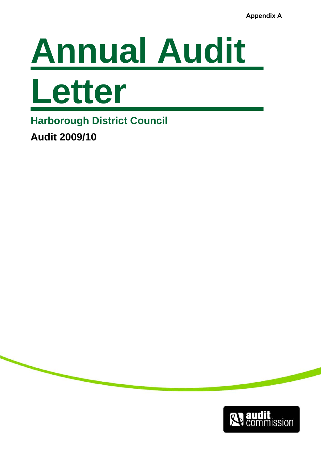



**Harborough District Council** 

**Audit 2009/10** 

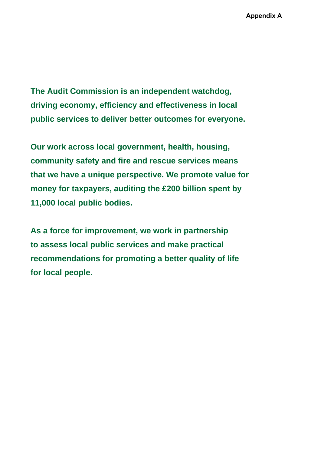**The Audit Commission is an independent watchdog, driving economy, efficiency and effectiveness in local public services to deliver better outcomes for everyone.** 

**Our work across local government, health, housing, community safety and fire and rescue services means that we have a unique perspective. We promote value for money for taxpayers, auditing the £200 billion spent by 11,000 local public bodies.** 

**As a force for improvement, we work in partnership to assess local public services and make practical recommendations for promoting a better quality of life for local people.**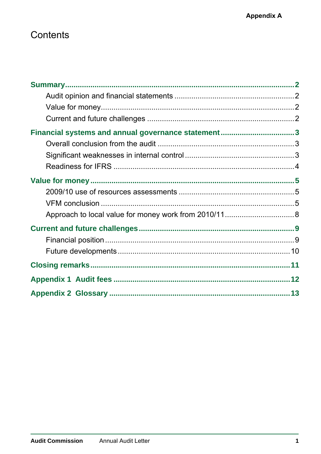# Contents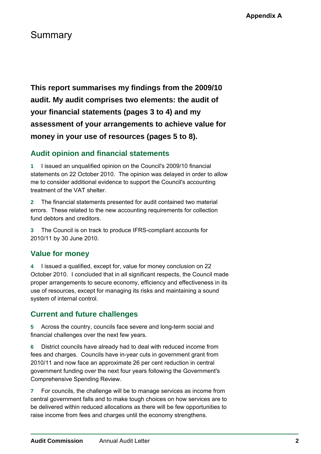## <span id="page-3-0"></span>Summary

**This report summarises my findings from the 2009/10 audit. My audit comprises two elements: the audit of your financial statements (pages 3 to 4) and my assessment of your arrangements to achieve value for money in your use of resources (pages 5 to 8).** 

### **Audit opinion and financial statements**

**1** I issued an unqualified opinion on the Council's 2009/10 financial statements on 22 October 2010. The opinion was delayed in order to allow me to consider additional evidence to support the Council's accounting treatment of the VAT shelter.

**2** The financial statements presented for audit contained two material errors. These related to the new accounting requirements for collection fund debtors and creditors.

**3** The Council is on track to produce IFRS-compliant accounts for 2010/11 by 30 June 2010.

### **Value for money**

**4** I issued a qualified, except for, value for money conclusion on 22 October 2010. I concluded that in all significant respects, the Council made proper arrangements to secure economy, efficiency and effectiveness in its use of resources, except for managing its risks and maintaining a sound system of internal control.

## **Current and future challenges**

**5** Across the country, councils face severe and long-term social and financial challenges over the next few years.

**6** District councils have already had to deal with reduced income from fees and charges. Councils have in-year cuts in government grant from 2010/11 and now face an approximate 26 per cent reduction in central government funding over the next four years following the Government's Comprehensive Spending Review.

**7** For councils, the challenge will be to manage services as income from central government falls and to make tough choices on how services are to be delivered within reduced allocations as there will be few opportunities to raise income from fees and charges until the economy strengthens.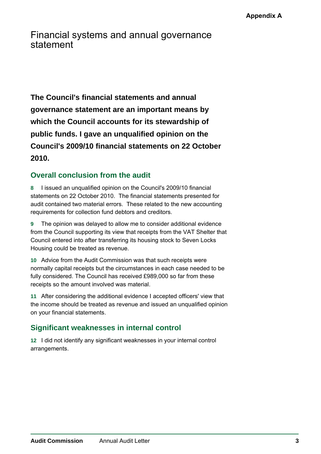<span id="page-4-0"></span>Financial systems and annual governance statement

**The Council's financial statements and annual governance statement are an important means by which the Council accounts for its stewardship of public funds. I gave an unqualified opinion on the Council's 2009/10 financial statements on 22 October 2010.** 

## **Overall conclusion from the audit**

**8** I issued an unqualified opinion on the Council's 2009/10 financial statements on 22 October 2010. The financial statements presented for audit contained two material errors. These related to the new accounting requirements for collection fund debtors and creditors.

**9** The opinion was delayed to allow me to consider additional evidence from the Council supporting its view that receipts from the VAT Shelter that Council entered into after transferring its housing stock to Seven Locks Housing could be treated as revenue.

**10** Advice from the Audit Commission was that such receipts were normally capital receipts but the circumstances in each case needed to be fully considered. The Council has received £989,000 so far from these receipts so the amount involved was material.

**11** After considering the additional evidence I accepted officers' view that the income should be treated as revenue and issued an unqualified opinion on your financial statements.

## **Significant weaknesses in internal control**

**12** I did not identify any significant weaknesses in your internal control arrangements.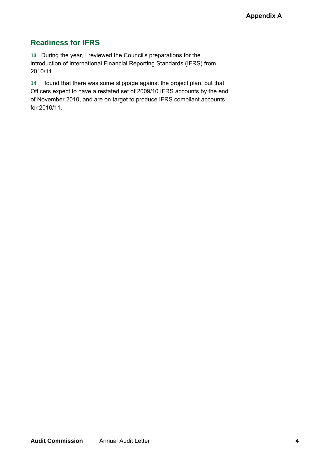## <span id="page-5-0"></span>**Readiness for IFRS**

**13** During the year, I reviewed the Council's preparations for the introduction of International Financial Reporting Standards (IFRS) from 2010/11.

**14** I found that there was some slippage against the project plan, but that Officers expect to have a restated set of 2009/10 IFRS accounts by the end of November 2010, and are on target to produce IFRS compliant accounts for 2010/11.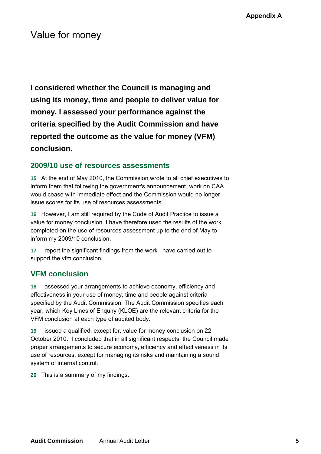## <span id="page-6-0"></span>Value for money

**I considered whether the Council is managing and using its money, time and people to deliver value for money. I assessed your performance against the criteria specified by the Audit Commission and have reported the outcome as the value for money (VFM) conclusion.** 

### **2009/10 use of resources assessments**

**15** At the end of May 2010, the Commission wrote to all chief executives to inform them that following the government's announcement, work on CAA would cease with immediate effect and the Commission would no longer issue scores for its use of resources assessments.

**16** However, I am still required by the Code of Audit Practice to issue a value for money conclusion. I have therefore used the results of the work completed on the use of resources assessment up to the end of May to inform my 2009/10 conclusion.

**17** I report the significant findings from the work I have carried out to support the vfm conclusion.

### **VFM conclusion**

**18** I assessed your arrangements to achieve economy, efficiency and effectiveness in your use of money, time and people against criteria specified by the Audit Commission. The Audit Commission specifies each year, which Key Lines of Enquiry (KLOE) are the relevant criteria for the VFM conclusion at each type of audited body.

**19** I issued a qualified, except for, value for money conclusion on 22 October 2010. I concluded that in all significant respects, the Council made proper arrangements to secure economy, efficiency and effectiveness in its use of resources, except for managing its risks and maintaining a sound system of internal control.

**20** This is a summary of my findings.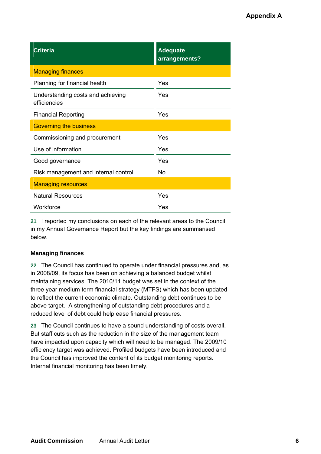| Criteri <u>a</u>                                  | <b>Adequate</b><br>arrangements? |
|---------------------------------------------------|----------------------------------|
| <b>Managing finances</b>                          |                                  |
| Planning for financial health                     | Yes                              |
| Understanding costs and achieving<br>efficiencies | Yes                              |
| <b>Financial Reporting</b>                        | Yes                              |
| <b>Governing the business</b>                     |                                  |
| Commissioning and procurement                     | Yes                              |
| Use of information                                | Yes                              |
| Good governance                                   | Yes                              |
| Risk management and internal control              | No                               |
| <b>Managing resources</b>                         |                                  |
| <b>Natural Resources</b>                          | Yes                              |
| Workforce                                         | Yes                              |

**21** I reported my conclusions on each of the relevant areas to the Council in my Annual Governance Report but the key findings are summarised below.

#### **Managing finances**

**22** The Council has continued to operate under financial pressures and, as in 2008/09, its focus has been on achieving a balanced budget whilst maintaining services. The 2010/11 budget was set in the context of the three year medium term financial strategy (MTFS) which has been updated to reflect the current economic climate. Outstanding debt continues to be above target. A strengthening of outstanding debt procedures and a reduced level of debt could help ease financial pressures.

**23** The Council continues to have a sound understanding of costs overall. But staff cuts such as the reduction in the size of the management team have impacted upon capacity which will need to be managed. The 2009/10 efficiency target was achieved. Profiled budgets have been introduced and the Council has improved the content of its budget monitoring reports. Internal financial monitoring has been timely.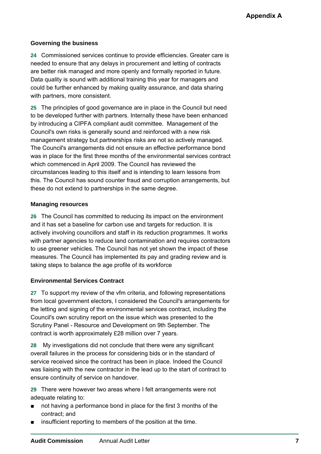#### **Governing the business**

**24** Commissioned services continue to provide efficiencies. Greater care is needed to ensure that any delays in procurement and letting of contracts are better risk managed and more openly and formally reported in future. Data quality is sound with additional training this year for managers and could be further enhanced by making quality assurance, and data sharing with partners, more consistent.

**25** The principles of good governance are in place in the Council but need to be developed further with partners. Internally these have been enhanced by introducing a CIPFA compliant audit committee. Management of the Council's own risks is generally sound and reinforced with a new risk management strategy but partnerships risks are not so actively managed. The Council's arrangements did not ensure an effective performance bond was in place for the first three months of the environmental services contract which commenced in April 2009. The Council has reviewed the circumstances leading to this itself and is intending to learn lessons from this. The Council has sound counter fraud and corruption arrangements, but these do not extend to partnerships in the same degree.

#### **Managing resources**

**26** The Council has committed to reducing its impact on the environment and it has set a baseline for carbon use and targets for reduction. It is actively involving councillors and staff in its reduction programmes. It works with partner agencies to reduce land contamination and requires contractors to use greener vehicles. The Council has not yet shown the impact of these measures. The Council has implemented its pay and grading review and is taking steps to balance the age profile of its workforce

#### **Environmental Services Contract**

**27** To support my review of the vfm criteria, and following representations from local government electors, I considered the Council's arrangements for the letting and signing of the environmental services contract, including the Council's own scrutiny report on the issue which was presented to the Scrutiny Panel - Resource and Development on 9th September. The contract is worth approximately £28 million over 7 years.

**28** My investigations did not conclude that there were any significant overall failures in the process for considering bids or in the standard of service received since the contract has been in place. Indeed the Council was liaising with the new contractor in the lead up to the start of contract to ensure continuity of service on handover.

**29** There were however two areas where I felt arrangements were not adequate relating to:

- not having a performance bond in place for the first 3 months of the contract; and
- insufficient reporting to members of the position at the time.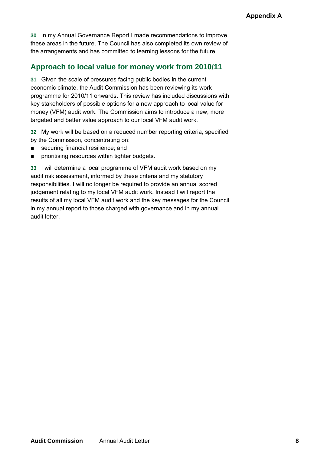<span id="page-9-0"></span>**30** In my Annual Governance Report I made recommendations to improve these areas in the future. The Council has also completed its own review of the arrangements and has committed to learning lessons for the future.

### **Approach to local value for money work from 2010/11**

**31** Given the scale of pressures facing public bodies in the current economic climate, the Audit Commission has been reviewing its work programme for 2010/11 onwards. This review has included discussions with key stakeholders of possible options for a new approach to local value for money (VFM) audit work. The Commission aims to introduce a new, more targeted and better value approach to our local VFM audit work.

**32** My work will be based on a reduced number reporting criteria, specified by the Commission, concentrating on:

- securing financial resilience; and
- prioritising resources within tighter budgets.

**33** I will determine a local programme of VFM audit work based on my audit risk assessment, informed by these criteria and my statutory responsibilities. I will no longer be required to provide an annual scored judgement relating to my local VFM audit work. Instead I will report the results of all my local VFM audit work and the key messages for the Council in my annual report to those charged with governance and in my annual audit letter.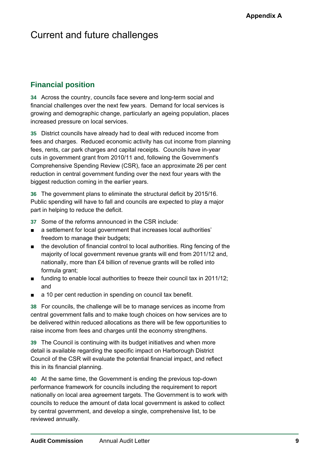## <span id="page-10-0"></span>Current and future challenges

## **Financial position**

**34** Across the country, councils face severe and long-term social and financial challenges over the next few years. Demand for local services is growing and demographic change, particularly an ageing population, places increased pressure on local services.

**35** District councils have already had to deal with reduced income from fees and charges. Reduced economic activity has cut income from planning fees, rents, car park charges and capital receipts. Councils have in-year cuts in government grant from 2010/11 and, following the Government's Comprehensive Spending Review (CSR), face an approximate 26 per cent reduction in central government funding over the next four years with the biggest reduction coming in the earlier years.

**36** The government plans to eliminate the structural deficit by 2015/16. Public spending will have to fall and councils are expected to play a major part in helping to reduce the deficit.

- **37** Some of the reforms announced in the CSR include:
- a settlement for local government that increases local authorities' freedom to manage their budgets;
- the devolution of financial control to local authorities. Ring fencing of the majority of local government revenue grants will end from 2011/12 and, nationally, more than £4 billion of revenue grants will be rolled into formula grant;
- funding to enable local authorities to freeze their council tax in 2011/12; and
- a 10 per cent reduction in spending on council tax benefit.

**38** For councils, the challenge will be to manage services as income from central government falls and to make tough choices on how services are to be delivered within reduced allocations as there will be few opportunities to raise income from fees and charges until the economy strengthens.

**39** The Council is continuing with its budget initiatives and when more detail is available regarding the specific impact on Harborough District Council of the CSR will evaluate the potential financial impact, and reflect this in its financial planning.

**40** At the same time, the Government is ending the previous top-down performance framework for councils including the requirement to report nationally on local area agreement targets. The Government is to work with councils to reduce the amount of data local government is asked to collect by central government, and develop a single, comprehensive list, to be reviewed annually.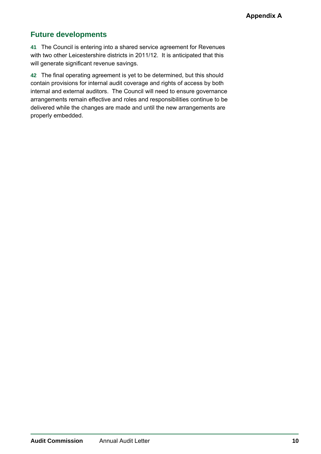### <span id="page-11-0"></span>**Future developments**

**41** The Council is entering into a shared service agreement for Revenues with two other Leicestershire districts in 2011/12. It is anticipated that this will generate significant revenue savings.

**42** The final operating agreement is yet to be determined, but this should contain provisions for internal audit coverage and rights of access by both internal and external auditors. The Council will need to ensure governance arrangements remain effective and roles and responsibilities continue to be delivered while the changes are made and until the new arrangements are properly embedded.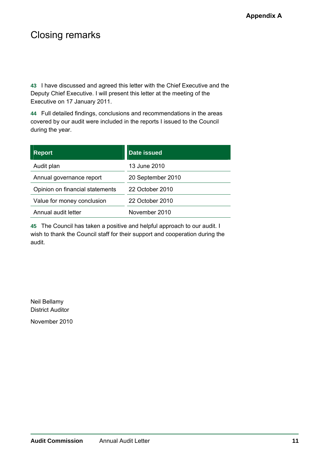## <span id="page-12-0"></span>Closing remarks

**43** I have discussed and agreed this letter with the Chief Executive and the Deputy Chief Executive. I will present this letter at the meeting of the Executive on 17 January 2011.

**44** Full detailed findings, conclusions and recommendations in the areas covered by our audit were included in the reports I issued to the Council during the year.

| <b>Report</b>                   | <b>Date issued</b> |
|---------------------------------|--------------------|
| Audit plan                      | 13 June 2010       |
| Annual governance report        | 20 September 2010  |
| Opinion on financial statements | 22 October 2010    |
| Value for money conclusion      | 22 October 2010    |
| Annual audit letter             | November 2010      |

**45** The Council has taken a positive and helpful approach to our audit. I wish to thank the Council staff for their support and cooperation during the audit.

Neil Bellamy District Auditor

November 2010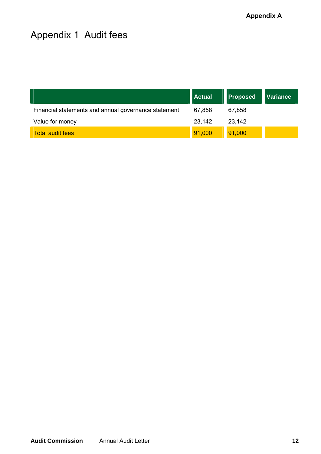# <span id="page-13-0"></span>Appendix 1 Audit fees

|                                                      | <b>Actual</b> | <b>Proposed</b> | <b>Variance</b> |
|------------------------------------------------------|---------------|-----------------|-----------------|
| Financial statements and annual governance statement | 67,858        | 67,858          |                 |
| Value for money                                      | 23,142        | 23,142          |                 |
| <b>Total audit fees</b>                              | 91,000        | 91,000          |                 |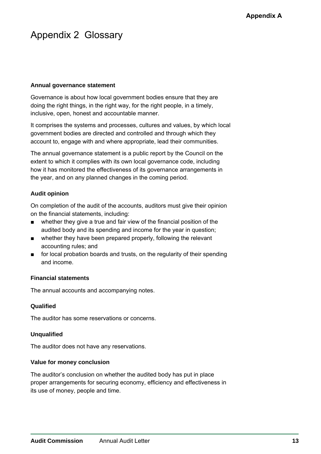## <span id="page-14-0"></span>Appendix 2 Glossary

#### **Annual governance statement**

Governance is about how local government bodies ensure that they are doing the right things, in the right way, for the right people, in a timely, inclusive, open, honest and accountable manner.

It comprises the systems and processes, cultures and values, by which local government bodies are directed and controlled and through which they account to, engage with and where appropriate, lead their communities.

The annual governance statement is a public report by the Council on the extent to which it complies with its own local governance code, including how it has monitored the effectiveness of its governance arrangements in the year, and on any planned changes in the coming period.

#### **Audit opinion**

On completion of the audit of the accounts, auditors must give their opinion on the financial statements, including:

- whether they give a true and fair view of the financial position of the audited body and its spending and income for the year in question;
- whether they have been prepared properly, following the relevant accounting rules; and
- for local probation boards and trusts, on the regularity of their spending and income.

#### **Financial statements**

The annual accounts and accompanying notes.

#### **Qualified**

The auditor has some reservations or concerns.

#### **Unqualified**

The auditor does not have any reservations.

#### **Value for money conclusion**

The auditor's conclusion on whether the audited body has put in place proper arrangements for securing economy, efficiency and effectiveness in its use of money, people and time.